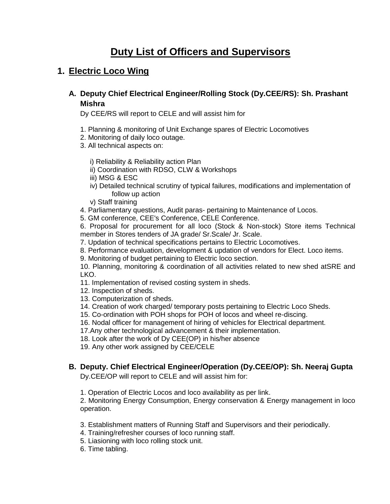# **Duty List of Officers and Supervisors**

## **1. Electric Loco Wing**

**A. Deputy Chief Electrical Engineer/Rolling Stock (Dy.CEE/RS): Sh. Prashant Mishra**

Dy CEE/RS will report to CELE and will assist him for

- 1. Planning & monitoring of Unit Exchange spares of Electric Locomotives
- 2. Monitoring of daily loco outage.
- 3. All technical aspects on:

i) Reliability & Reliability action Plan

- ii) Coordination with RDSO, CLW & Workshops
- iii) MSG & ESC
- iv) Detailed technical scrutiny of typical failures, modifications and implementation of follow up action
- v) Staff training
- 4. Parliamentary questions, Audit paras- pertaining to Maintenance of Locos.
- 5. GM conference, CEE's Conference, CELE Conference.

6. Proposal for procurement for all loco (Stock & Non-stock) Store items Technical member in Stores tenders of JA grade/ Sr.Scale/ Jr. Scale.

7. Updation of technical specifications pertains to Electric Locomotives.

8. Performance evaluation, development & updation of vendors for Elect. Loco items.

9. Monitoring of budget pertaining to Electric loco section.

10. Planning, monitoring & coordination of all activities related to new shed atSRE and LKO.

11. Implementation of revised costing system in sheds.

- 12. Inspection of sheds.
- 13. Computerization of sheds.
- 14. Creation of work charged/ temporary posts pertaining to Electric Loco Sheds.
- 15. Co-ordination with POH shops for POH of locos and wheel re-discing.
- 16. Nodal officer for management of hiring of vehicles for Electrical department.

17.Any other technological advancement & their implementation.

18. Look after the work of Dy CEE(OP) in his/her absence

19. Any other work assigned by CEE/CELE

## **B. Deputy. Chief Electrical Engineer/Operation (Dy.CEE/OP): Sh. Neeraj Gupta**

Dy.CEE/OP will report to CELE and will assist him for:

1. Operation of Electric Locos and loco availability as per link.

2. Monitoring Energy Consumption, Energy conservation & Energy management in loco operation.

3. Establishment matters of Running Staff and Supervisors and their periodically.

- 4. Training/refresher courses of loco running staff.
- 5. Liasioning with loco rolling stock unit.
- 6. Time tabling.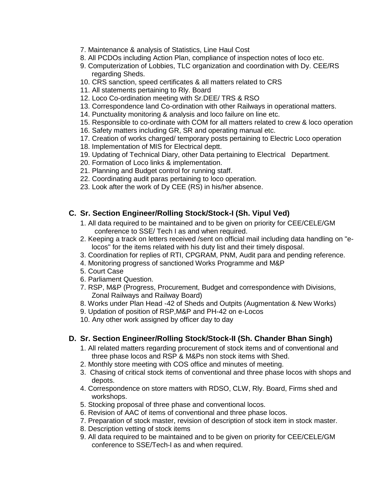- 7. Maintenance & analysis of Statistics, Line Haul Cost
- 8. All PCDOs including Action Plan, compliance of inspection notes of loco etc.
- 9. Computerization of Lobbies, TLC organization and coordination with Dy. CEE/RS regarding Sheds.
- 10. CRS sanction, speed certificates & all matters related to CRS
- 11. All statements pertaining to Rly. Board
- 12. Loco Co-ordination meeting with Sr.DEE/ TRS & RSO
- 13. Correspondence land Co-ordination with other Railways in operational matters.
- 14. Punctuality monitoring & analysis and loco failure on line etc.
- 15. Responsible to co-ordinate with COM for all matters related to crew & loco operation
- 16. Safety matters including GR, SR and operating manual etc.
- 17. Creation of works charged/ temporary posts pertaining to Electric Loco operation
- 18. Implementation of MIS for Electrical deptt.
- 19. Updating of Technical Diary, other Data pertaining to Electrical Department.
- 20. Formation of Loco links & implementation.
- 21. Planning and Budget control for running staff.
- 22. Coordinating audit paras pertaining to loco operation.
- 23. Look after the work of Dy CEE (RS) in his/her absence.

#### **C. Sr. Section Engineer/Rolling Stock/Stock-I (Sh. Vipul Ved)**

- 1. All data required to be maintained and to be given on priority for CEE/CELE/GM conference to SSE/ Tech I as and when required.
- 2. Keeping a track on letters received /sent on official mail including data handling on "elocos" for the items related with his duty list and their timely disposal.
- 3. Coordination for replies of RTI, CPGRAM, PNM, Audit para and pending reference.
- 4. Monitoring progress of sanctioned Works Programme and M&P
- 5. Court Case
- 6. Parliament Question.
- 7. RSP, M&P (Progress, Procurement, Budget and correspondence with Divisions, Zonal Railways and Railway Board)
- 8. Works under Plan Head -42 of Sheds and Outpits (Augmentation & New Works)
- 9. Updation of position of RSP,M&P and PH-42 on e-Locos
- 10. Any other work assigned by officer day to day

#### **D. Sr. Section Engineer/Rolling Stock/Stock-II (Sh. Chander Bhan Singh)**

- 1. All related matters regarding procurement of stock items and of conventional and three phase locos and RSP & M&Ps non stock items with Shed.
- 2. Monthly store meeting with COS office and minutes of meeting.
- 3. Chasing of critical stock items of conventional and three phase locos with shops and depots.
- 4. Correspondence on store matters with RDSO, CLW, Rly. Board, Firms shed and workshops.
- 5. Stocking proposal of three phase and conventional locos.
- 6. Revision of AAC of items of conventional and three phase locos.
- 7. Preparation of stock master, revision of description of stock item in stock master.
- 8. Description vetting of stock items
- 9. All data required to be maintained and to be given on priority for CEE/CELE/GM conference to SSE/Tech-l as and when required.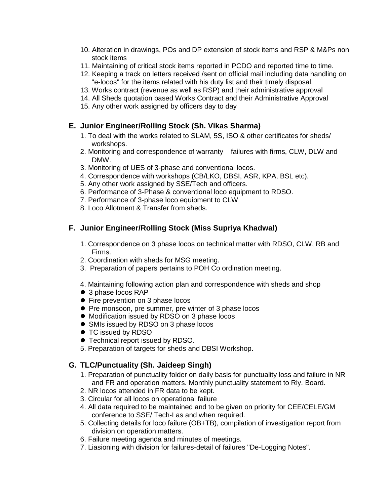- 10. Alteration in drawings, POs and DP extension of stock items and RSP & M&Ps non stock items
- 11. Maintaining of critical stock items reported in PCDO and reported time to time.
- 12. Keeping a track on letters received /sent on official mail including data handling on "e-locos" for the items related with his duty list and their timely disposal.
- 13. Works contract (revenue as well as RSP) and their administrative approval
- 14. All Sheds quotation based Works Contract and their Administrative Approval
- 15. Any other work assigned by officers day to day

### **E. Junior Engineer/Rolling Stock (Sh. Vikas Sharma)**

- 1. To deal with the works related to SLAM, 5S, ISO & other certificates for sheds/ workshops.
- 2. Monitoring and correspondence of warranty failures with firms, CLW, DLW and DMW.
- 3. Monitoring of UES of 3-phase and conventional locos.
- 4. Correspondence with workshops (CB/LKO, DBSI, ASR, KPA, BSL etc).
- 5. Any other work assigned by SSE/Tech and officers.
- 6. Performance of 3-Phase & conventional loco equipment to RDSO.
- 7. Performance of 3-phase loco equipment to CLW
- 8. Loco Allotment & Transfer from sheds.

## **F. Junior Engineer/Rolling Stock (Miss Supriya Khadwal)**

- 1. Correspondence on 3 phase locos on technical matter with RDSO, CLW, RB and Firms.
- 2. Coordination with sheds for MSG meeting.
- 3. Preparation of papers pertains to POH Co ordination meeting.
- 4. Maintaining following action plan and correspondence with sheds and shop
- 3 phase locos RAP
- Fire prevention on 3 phase locos
- **•** Pre monsoon, pre summer, pre winter of 3 phase locos
- $\bullet$  Modification issued by RDSO on 3 phase locos
- SMIs issued by RDSO on 3 phase locos
- TC issued by RDSO
- Technical report issued by RDSO.
- 5. Preparation of targets for sheds and DBSI Workshop.

## **G. TLC/Punctuality (Sh. Jaideep Singh)**

- 1. Preparation of punctuality folder on daily basis for punctuality loss and failure in NR and FR and operation matters. Monthly punctuality statement to Rly. Board.
- 2. NR locos attended in FR data to be kept.
- 3. Circular for all locos on operational failure
- 4. All data required to be maintained and to be given on priority for CEE/CELE/GM conference to SSE/ Tech-I as and when required.
- 5. Collecting details for loco failure (OB+TB), compilation of investigation report from division on operation matters.
- 6. Failure meeting agenda and minutes of meetings.
- 7. Liasioning with division for failures-detail of failures "De-Logging Notes".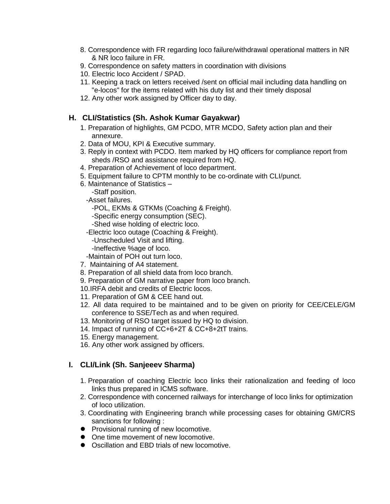- 8. Correspondence with FR regarding loco failure/withdrawal operational matters in NR & NR loco failure in FR.
- 9. Correspondence on safety matters in coordination with divisions
- 10. Electric loco Accident / SPAD.
- 11. Keeping a track on letters received /sent on official mail including data handling on "e-locos" for the items related with his duty list and their timely disposal
- 12. Any other work assigned by Officer day to day.

### **H. CLI/Statistics (Sh. Ashok Kumar Gayakwar)**

- 1. Preparation of highlights, GM PCDO, MTR MCDO, Safety action plan and their annexure.
- 2. Data of MOU, KPI & Executive summary.
- 3. Reply in context with PCDO. Item marked by HQ officers for compliance report from sheds /RSO and assistance required from HQ.
- 4. Preparation of Achievement of loco department.
- 5. Equipment failure to CPTM monthly to be co-ordinate with CLI/punct.
- 6. Maintenance of Statistics
	- -Staff position.
	- -Asset failures.
		- -POL, EKMs & GTKMs (Coaching & Freight).
		- -Specific energy consumption (SEC).
		- -Shed wise holding of electric loco.
	- -Electric loco outage (Coaching & Freight).
		- -Unscheduled Visit and lifting.
		- -Ineffective %age of loco.
	- -Maintain of POH out turn loco.
- 7. Maintaining of A4 statement.
- 8. Preparation of all shield data from loco branch.
- 9. Preparation of GM narrative paper from loco branch.
- 10.IRFA debit and credits of Electric locos.
- 11. Preparation of GM & CEE hand out.
- 12. All data required to be maintained and to be given on priority for CEE/CELE/GM conference to SSE/Tech as and when required.
- 13. Monitoring of RSO target issued by HQ to division.
- 14. Impact of running of CC+6+2T & CC+8+2tT trains.
- 15. Energy management.
- 16. Any other work assigned by officers.

#### **I. CLI/Link (Sh. Sanjeeev Sharma)**

- 1. Preparation of coaching Electric loco links their rationalization and feeding of loco links thus prepared in ICMS software.
- 2. Correspondence with concerned railways for interchange of loco links for optimization of loco utilization.
- 3. Coordinating with Engineering branch while processing cases for obtaining GM/CRS sanctions for following :
- **•** Provisional running of new locomotive.
- One time movement of new locomotive.
- Oscillation and EBD trials of new locomotive.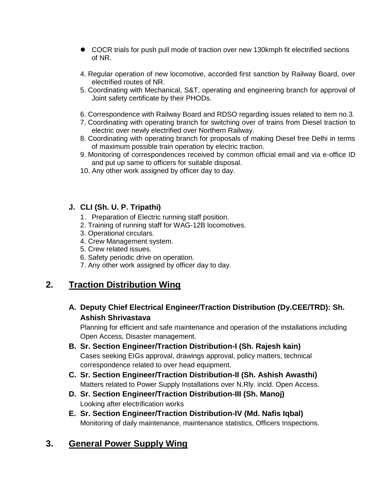- COCR trials for push pull mode of traction over new 130kmph fit electrified sections of NR.
- 4. Regular operation of new locomotive, accorded first sanction by Railway Board, over electrified routes of NR.
- 5. Coordinating with Mechanical, S&T, operating and engineering branch for approval of Joint safety certificate by their PHODs.
- 6. Correspondence with Railway Board and RDSO regarding issues related to item no.3.
- 7. Coordinating with operating branch for switching over of trains from Diesel traction to electric over newly electrified over Northern Railway.
- 8. Coordinating with operating branch for proposals of making Diesel free Delhi in terms of maximum possible train operation by electric traction.
- 9. Monitoring of correspondences received by common official email and via e-office ID and put up same to officers for suitable disposal.
- 10. Any other work assigned by officer day to day.

## **J. CLI (Sh. U. P. Tripathi)**

- 1. Preparation of Electric running staff position.
- 2. Training of running staff for WAG-12B locomotives.
- 3. Operational circulars.
- 4. Crew Management system.
- 5. Crew related issues.
- 6. Safety periodic drive on operation.
- 7. Any other work assigned by officer day to day.

## **2. Traction Distribution Wing**

## **A. Deputy Chief Electrical Engineer/Traction Distribution (Dy.CEE/TRD): Sh. Ashish Shrivastava**

Planning for efficient and safe maintenance and operation of the installations including Open Access, Disaster management.

- **B. Sr. Section Engineer/Traction Distribution-I (Sh. Rajesh kain)** Cases seeking EIGs approval, drawings approval, policy matters, technical correspondence related to over head equipment.
- **C. Sr. Section Engineer/Traction Distribution-II (Sh. Ashish Awasthi)** Matters related to Power Supply Installations over N.Rly. incld. Open Access.
- **D. Sr. Section Engineer/Traction Distribution-III (Sh. Manoj)** Looking after electrification works
- **E. Sr. Section Engineer/Traction Distribution-IV (Md. Nafis Iqbal)** Monitoring of daily maintenance, maintenance statistics, Officers Inspections.

## **3. General Power Supply Wing**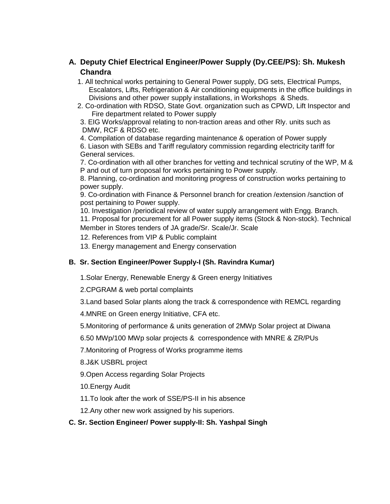## **A. Deputy Chief Electrical Engineer/Power Supply (Dy.CEE/PS): Sh. Mukesh Chandra**

- 1. All technical works pertaining to General Power supply, DG sets, Electrical Pumps, Escalators, Lifts, Refrigeration & Air conditioning equipments in the office buildings in Divisions and other power supply installations, in Workshops & Sheds.
- 2. Co-ordination with RDSO, State Govt. organization such as CPWD, Lift Inspector and Fire department related to Power supply

3. EIG Works/approval relating to non-traction areas and other Rly. units such as DMW, RCF & RDSO etc.

4. Compilation of database regarding maintenance & operation of Power supply 6. Liason with SEBs and Tariff regulatory commission regarding electricity tariff for General services.

7. Co-ordination with all other branches for vetting and technical scrutiny of the WP, M & P and out of turn proposal for works pertaining to Power supply.

8. Planning, co-ordination and monitoring progress of construction works pertaining to power supply.

9. Co-ordination with Finance & Personnel branch for creation /extension /sanction of post pertaining to Power supply.

10. Investigation /periodical review of water supply arrangement with Engg. Branch.

11. Proposal for procurement for all Power supply items (Stock & Non-stock). Technical Member in Stores tenders of JA grade/Sr. Scale/Jr. Scale

12. References from VIP & Public complaint

13. Energy management and Energy conservation

#### **B. Sr. Section Engineer/Power Supply-I (Sh. Ravindra Kumar)**

1.Solar Energy, Renewable Energy & Green energy Initiatives

2.CPGRAM & web portal complaints

3.Land based Solar plants along the track & correspondence with REMCL regarding

4.MNRE on Green energy Initiative, CFA etc.

5.Monitoring of performance & units generation of 2MWp Solar project at Diwana

6.50 MWp/100 MWp solar projects & correspondence with MNRE & ZR/PUs

7.Monitoring of Progress of Works programme items

8.J&K USBRL project

9.Open Access regarding Solar Projects

10.Energy Audit

11.To look after the work of SSE/PS-II in his absence

12.Any other new work assigned by his superiors.

#### **C. Sr. Section Engineer/ Power supply-II: Sh. Yashpal Singh**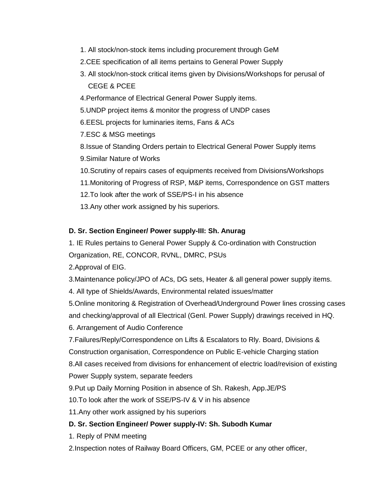- 1. All stock/non-stock items including procurement through GeM
- 2.CEE specification of all items pertains to General Power Supply
- 3. All stock/non-stock critical items given by Divisions/Workshops for perusal of CEGE & PCEE
- 4.Performance of Electrical General Power Supply items.
- 5.UNDP project items & monitor the progress of UNDP cases
- 6.EESL projects for luminaries items, Fans & ACs
- 7.ESC & MSG meetings
- 8.Issue of Standing Orders pertain to Electrical General Power Supply items
- 9.Similar Nature of Works
- 10.Scrutiny of repairs cases of equipments received from Divisions/Workshops
- 11.Monitoring of Progress of RSP, M&P items, Correspondence on GST matters
- 12.To look after the work of SSE/PS-I in his absence
- 13.Any other work assigned by his superiors.

#### **D. Sr. Section Engineer/ Power supply-III: Sh. Anurag**

- 1. IE Rules pertains to General Power Supply & Co-ordination with Construction
- Organization, RE, CONCOR, RVNL, DMRC, PSUs
- 2.Approval of EIG.
- 3.Maintenance policy/JPO of ACs, DG sets, Heater & all general power supply items.
- 4. All type of Shields/Awards, Environmental related issues/matter
- 5.Online monitoring & Registration of Overhead/Underground Power lines crossing cases and checking/approval of all Electrical (Genl. Power Supply) drawings received in HQ.
- 6. Arrangement of Audio Conference
- 7.Failures/Reply/Correspondence on Lifts & Escalators to Rly. Board, Divisions &
- Construction organisation, Correspondence on Public E-vehicle Charging station
- 8.All cases received from divisions for enhancement of electric load/revision of existing
- Power Supply system, separate feeders
- 9.Put up Daily Morning Position in absence of Sh. Rakesh, App.JE/PS
- 10.To look after the work of SSE/PS-IV & V in his absence
- 11.Any other work assigned by his superiors

#### **D. Sr. Section Engineer/ Power supply-IV: Sh. Subodh Kumar**

- 1. Reply of PNM meeting
- 2.Inspection notes of Railway Board Officers, GM, PCEE or any other officer,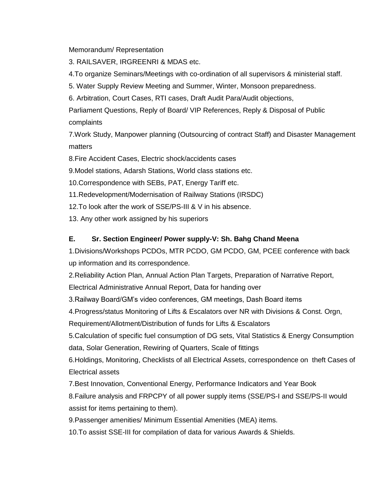Memorandum/ Representation

3. RAILSAVER, IRGREENRI & MDAS etc.

4.To organize Seminars/Meetings with co-ordination of all supervisors & ministerial staff.

5. Water Supply Review Meeting and Summer, Winter, Monsoon preparedness.

6. Arbitration, Court Cases, RTI cases, Draft Audit Para/Audit objections,

Parliament Questions, Reply of Board/ VIP References, Reply & Disposal of Public complaints

7.Work Study, Manpower planning (Outsourcing of contract Staff) and Disaster Management matters

8.Fire Accident Cases, Electric shock/accidents cases

9.Model stations, Adarsh Stations, World class stations etc.

10.Correspondence with SEBs, PAT, Energy Tariff etc.

11.Redevelopment/Modernisation of Railway Stations (IRSDC)

12.To look after the work of SSE/PS-III & V in his absence.

13. Any other work assigned by his superiors

## **E. Sr. Section Engineer/ Power supply-V: Sh. Bahg Chand Meena**

1.Divisions/Workshops PCDOs, MTR PCDO, GM PCDO, GM, PCEE conference with back up information and its correspondence.

2.Reliability Action Plan, Annual Action Plan Targets, Preparation of Narrative Report,

Electrical Administrative Annual Report, Data for handing over

3.Railway Board/GM's video conferences, GM meetings, Dash Board items

4.Progress/status Monitoring of Lifts & Escalators over NR with Divisions & Const. Orgn,

Requirement/Allotment/Distribution of funds for Lifts & Escalators

5.Calculation of specific fuel consumption of DG sets, Vital Statistics & Energy Consumption data, Solar Generation, Rewiring of Quarters, Scale of fittings

6.Holdings, Monitoring, Checklists of all Electrical Assets, correspondence on theft Cases of Electrical assets

7.Best Innovation, Conventional Energy, Performance Indicators and Year Book

8.Failure analysis and FRPCPY of all power supply items (SSE/PS-I and SSE/PS-II would assist for items pertaining to them).

9.Passenger amenities/ Minimum Essential Amenities (MEA) items.

10.To assist SSE-III for compilation of data for various Awards & Shields.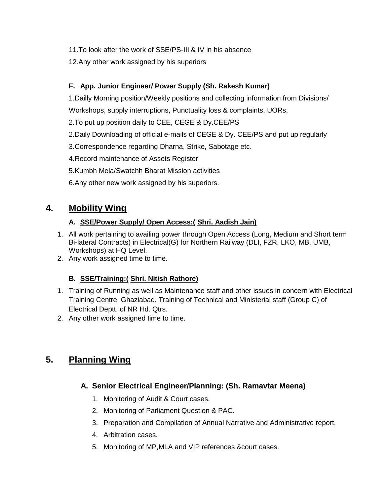11.To look after the work of SSE/PS-III & IV in his absence

12.Any other work assigned by his superiors

## **F. App. Junior Engineer/ Power Supply (Sh. Rakesh Kumar)**

1.Dailly Morning position/Weekly positions and collecting information from Divisions/

Workshops, supply interruptions, Punctuality loss & complaints, UORs,

2.To put up position daily to CEE, CEGE & Dy.CEE/PS

- 2.Daily Downloading of official e-mails of CEGE & Dy. CEE/PS and put up regularly
- 3.Correspondence regarding Dharna, Strike, Sabotage etc.
- 4.Record maintenance of Assets Register
- 5.Kumbh Mela/Swatchh Bharat Mission activities
- 6.Any other new work assigned by his superiors.

## **4. Mobility Wing**

### **A. SSE/Power Supply/ Open Access:( Shri. Aadish Jain)**

- 1. All work pertaining to availing power through Open Access (Long, Medium and Short term Bi-lateral Contracts) in Electrical(G) for Northern Railway (DLI, FZR, LKO, MB, UMB, Workshops) at HQ Level.
- 2. Any work assigned time to time.

## **B. SSE/Training:( Shri. Nitish Rathore)**

- 1. Training of Running as well as Maintenance staff and other issues in concern with Electrical Training Centre, Ghaziabad. Training of Technical and Ministerial staff (Group C) of Electrical Deptt. of NR Hd. Qtrs.
- 2. Any other work assigned time to time.

## **5. Planning Wing**

## **A. Senior Electrical Engineer/Planning: (Sh. Ramavtar Meena)**

- 1. Monitoring of Audit & Court cases.
- 2. Monitoring of Parliament Question & PAC.
- 3. Preparation and Compilation of Annual Narrative and Administrative report.
- 4. Arbitration cases.
- 5. Monitoring of MP,MLA and VIP references &court cases.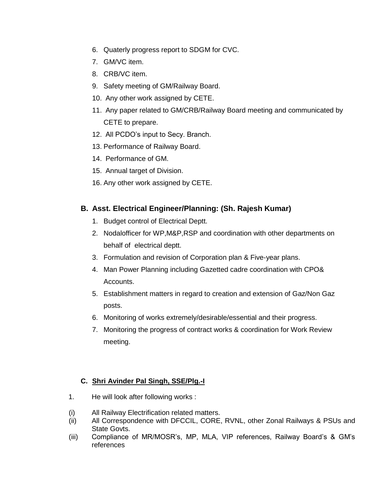- 6. Quaterly progress report to SDGM for CVC.
- 7. GM/VC item.
- 8. CRB/VC item.
- 9. Safety meeting of GM/Railway Board.
- 10. Any other work assigned by CETE.
- 11. Any paper related to GM/CRB/Railway Board meeting and communicated by CETE to prepare.
- 12. All PCDO's input to Secy. Branch.
- 13. Performance of Railway Board.
- 14. Performance of GM.
- 15. Annual target of Division.
- 16. Any other work assigned by CETE.

## **B. Asst. Electrical Engineer/Planning: (Sh. Rajesh Kumar)**

- 1. Budget control of Electrical Deptt.
- 2. Nodalofficer for WP,M&P,RSP and coordination with other departments on behalf of electrical deptt.
- 3. Formulation and revision of Corporation plan & Five-year plans.
- 4. Man Power Planning including Gazetted cadre coordination with CPO& Accounts.
- 5. Establishment matters in regard to creation and extension of Gaz/Non Gaz posts.
- 6. Monitoring of works extremely/desirable/essential and their progress.
- 7. Monitoring the progress of contract works & coordination for Work Review meeting.

## **C. Shri Avinder Pal Singh, SSE/Plg.-I**

- 1. He will look after following works :
- (i) All Railway Electrification related matters.
- (ii) All Correspondence with DFCCIL, CORE, RVNL, other Zonal Railways & PSUs and State Govts.
- (iii) Compliance of MR/MOSR's, MP, MLA, VIP references, Railway Board's & GM's references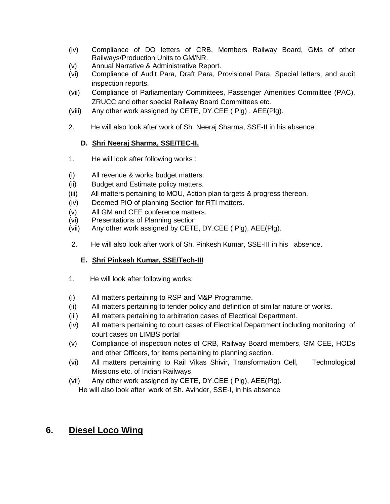- (iv) Compliance of DO letters of CRB, Members Railway Board, GMs of other Railways/Production Units to GM/NR.
- (v) Annual Narrative & Administrative Report.
- (vi) Compliance of Audit Para, Draft Para, Provisional Para, Special letters, and audit inspection reports.
- (vii) Compliance of Parliamentary Committees, Passenger Amenities Committee (PAC), ZRUCC and other special Railway Board Committees etc.
- (viii) Any other work assigned by CETE, DY.CEE ( Plg) , AEE(Plg).
- 2. He will also look after work of Sh. Neeraj Sharma, SSE-II in his absence.

#### **D. Shri Neeraj Sharma, SSE/TEC-II.**

- 1. He will look after following works :
- (i) All revenue & works budget matters.
- (ii) Budget and Estimate policy matters.
- (iii) All matters pertaining to MOU, Action plan targets & progress thereon.
- (iv) Deemed PIO of planning Section for RTI matters.
- (v) All GM and CEE conference matters.
- (vi) Presentations of Planning section
- (vii) Any other work assigned by CETE, DY.CEE ( Plg), AEE(Plg).
- 2. He will also look after work of Sh. Pinkesh Kumar, SSE-III in his absence.

#### **E. Shri Pinkesh Kumar, SSE/Tech-III**

- 1. He will look after following works:
- (i) All matters pertaining to RSP and M&P Programme.
- (ii) All matters pertaining to tender policy and definition of similar nature of works.
- (iii) All matters pertaining to arbitration cases of Electrical Department.
- (iv) All matters pertaining to court cases of Electrical Department including monitoring of court cases on LIMBS portal
- (v) Compliance of inspection notes of CRB, Railway Board members, GM CEE, HODs and other Officers, for items pertaining to planning section.
- (vi) All matters pertaining to Rail Vikas Shivir, Transformation Cell, Technological Missions etc. of Indian Railways.
- (vii) Any other work assigned by CETE, DY.CEE ( Plg), AEE(Plg). He will also look after work of Sh. Avinder, SSE-I, in his absence

## **6. Diesel Loco Wing**